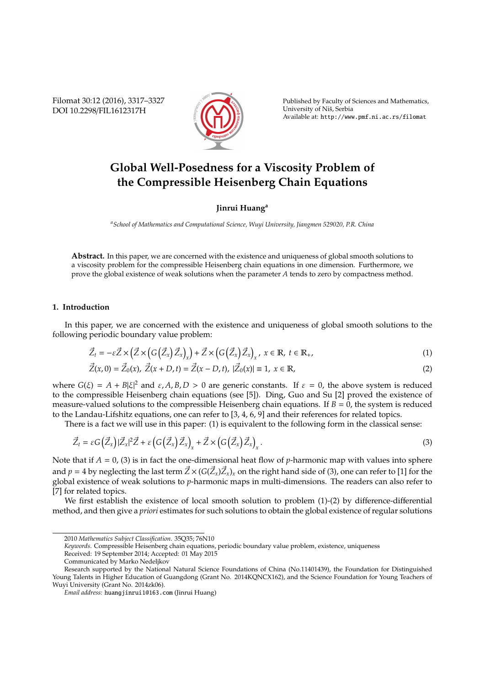Filomat 30:12 (2016), 3317–3327 DOI 10.2298/FIL1612317H



Published by Faculty of Sciences and Mathematics, University of Niš, Serbia Available at: http://www.pmf.ni.ac.rs/filomat

# **Global Well-Posedness for a Viscosity Problem of the Compressible Heisenberg Chain Equations**

**Jinrui Huang<sup>a</sup>**

*<sup>a</sup>School of Mathematics and Computational Science, Wuyi University, Jiangmen 529020, P.R. China*

**Abstract.** In this paper, we are concerned with the existence and uniqueness of global smooth solutions to a viscosity problem for the compressible Heisenberg chain equations in one dimension. Furthermore, we prove the global existence of weak solutions when the parameter *A* tends to zero by compactness method.

## **1. Introduction**

In this paper, we are concerned with the existence and uniqueness of global smooth solutions to the following periodic boundary value problem:

$$
\vec{Z}_t = -\varepsilon \vec{Z} \times (\vec{Z} \times (G(\vec{Z}_x) \vec{Z}_x)) + \vec{Z} \times (G(\vec{Z}_x) \vec{Z}_x)_{x}, \ x \in \mathbb{R}, \ t \in \mathbb{R}_+, \tag{1}
$$

$$
\vec{Z}(x,0) = \vec{Z}_0(x), \ \vec{Z}(x+D,t) = \vec{Z}(x-D,t), \ |\vec{Z}_0(x)| \equiv 1, \ x \in \mathbb{R},
$$
\n(2)

where  $G(\xi) = A + B|\xi|^2$  and  $\varepsilon, A, B, D > 0$  are generic constants. If  $\varepsilon = 0$ , the above system is reduced to the compressible Heisenberg chain equations (see [5]). Ding, Guo and Su [2] proved the existence of measure-valued solutions to the compressible Heisenberg chain equations. If  $B = 0$ , the system is reduced to the Landau-Lifshitz equations, one can refer to [3, 4, 6, 9] and their references for related topics.

There is a fact we will use in this paper: (1) is equivalent to the following form in the classical sense:

$$
\vec{Z}_t = \varepsilon G\left(\vec{Z}_x\right) |\vec{Z}_x|^2 \vec{Z} + \varepsilon \left(G\left(\vec{Z}_x\right) \vec{Z}_x\right)_x + \vec{Z} \times \left(G\left(\vec{Z}_x\right) \vec{Z}_x\right)_x. \tag{3}
$$

Note that if  $A = 0$ , (3) is in fact the one-dimensional heat flow of *p*-harmonic map with values into sphere and  $p=4$  by neglecting the last term  $\vec Z\times (G(\vec Z_x)\vec Z_x)_x$  on the right hand side of (3), one can refer to [1] for the global existence of weak solutions to *p*-harmonic maps in multi-dimensions. The readers can also refer to [7] for related topics.

We first establish the existence of local smooth solution to problem (1)-(2) by difference-differential method, and then give a *priori* estimates for such solutions to obtain the global existence of regular solutions

*Keywords*. Compressible Heisenberg chain equations, periodic boundary value problem, existence, uniqueness

Received: 19 September 2014; Accepted: 01 May 2015

<sup>2010</sup> *Mathematics Subject Classification*. 35Q35; 76N10

Communicated by Marko Nedeljkov

Research supported by the National Natural Science Foundations of China (No.11401439), the Foundation for Distinguished Young Talents in Higher Education of Guangdong (Grant No. 2014KQNCX162), and the Science Foundation for Young Teachers of Wuyi University (Grant No. 2014zk06).

*Email address:* huangjinrui1@163.com (Jinrui Huang)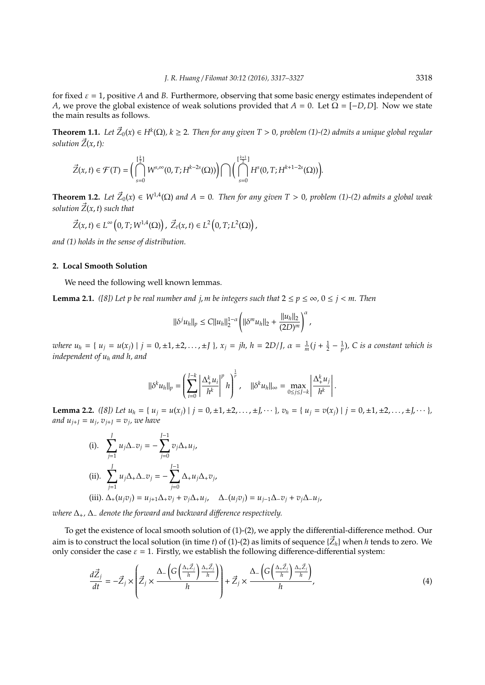for fixed  $\varepsilon = 1$ , positive *A* and *B*. Furthermore, observing that some basic energy estimates independent of *A*, we prove the global existence of weak solutions provided that  $A = 0$ . Let  $\Omega = [-D, D]$ . Now we state the main results as follows.

**Theorem 1.1.** Let  $\vec{Z}_0(x) \in H^k(\Omega)$ ,  $k \geq 2$ . Then for any given T > 0, problem (1)-(2) admits a unique global regular *solution*  $\vec{Z}(x, t)$ :

$$
\vec{Z}(x,t)\in\mathcal{F}(T)=\bigg(\bigcap_{s=0}^{[\frac{k}{2}]}W^{s,\infty}(0,T;H^{k-2s}(\Omega))\bigg)\bigcap\bigg(\bigcap_{s=0}^{[\frac{k+1}{2}]}H^s(0,T;H^{k+1-2s}(\Omega))\bigg).
$$

**Theorem 1.2.** Let  $\vec{Z}_0(x) \in W^{1,4}(\Omega)$  and  $A = 0$ . Then for any given T > 0, problem (1)-(2) admits a global weak *solution*  $\vec{Z}(x, t)$  *such that* 

$$
\vec{Z}(x,t)\in L^\infty\left(0,T;W^{1,4}(\Omega)\right),\ \vec{Z}_t(x,t)\in L^2\left(0,T;L^2(\Omega)\right),
$$

*and (1) holds in the sense of distribution.*

### **2. Local Smooth Solution**

We need the following well known lemmas.

**Lemma 2.1.** *([8])* Let p be real number and  $j$ , *m* be integers such that  $2 \le p \le \infty$ ,  $0 \le j \le m$ . Then

$$
\|\delta^j u_h\|_p \leq C \|u_h\|_2^{1-\alpha} \left( \|\delta^m u_h\|_2 + \frac{\|u_h\|_2}{(2D)^m} \right)^{\alpha},
$$

where  $u_h = \{ u_j = u(x_j) | j = 0, \pm 1, \pm 2, \ldots, \pm J \}$ ,  $x_j = jh$ ,  $h = 2D/J$ ,  $\alpha = \frac{1}{m}(j + \frac{1}{2} - \frac{1}{p})$ , C is a constant which is *independent of u<sup>h</sup> and h, and*

$$
\|\delta^k u_h\|_p = \left(\sum_{i=0}^{J-k} \left|\frac{\Delta_+^k u_i}{h^k}\right|^p h\right)^{\frac{1}{p}}, \quad \|\delta^k u_h\|_\infty = \max_{0 \le j \le J-k} \left|\frac{\Delta_+^k u_j}{h^k}\right|.
$$

**Lemma 2.2.** ([8]) Let  $u_h = \{u_i = u(x_i) | j = 0, \pm 1, \pm 2, \ldots, \pm J, \cdots \}$ ,  $v_h = \{u_i = v(x_i) | j = 0, \pm 1, \pm 2, \ldots, \pm J, \cdots \}$ , *and*  $u_{j+J} = u_j$ *,*  $v_{j+J} = v_j$ *, we have* 

(i). 
$$
\sum_{j=1}^{J} u_j \Delta_{-} v_j = - \sum_{j=0}^{J-1} v_j \Delta_{+} u_j,
$$
  
\n(ii). 
$$
\sum_{j=1}^{J} u_j \Delta_{+} \Delta_{-} v_j = - \sum_{j=0}^{J-1} \Delta_{+} u_j \Delta_{+} v_j,
$$
  
\n(iii). 
$$
\Delta_{+}(u_j v_j) = u_{j+1} \Delta_{+} v_j + v_j \Delta_{+} u_j, \quad \Delta_{-}(u_j v_j) = u_{j-1} \Delta_{-} v_j + v_j \Delta_{-} u_j,
$$

*where* ∆+*,* ∆<sup>−</sup> *denote the forward and backward di*ff*erence respectively.*

To get the existence of local smooth solution of (1)-(2), we apply the differential-difference method. Our aim is to construct the local solution (in time *t*) of (1)-(2) as limits of sequence { $\vec{Z}_h$ } when *h* tends to zero. We only consider the case  $\varepsilon = 1$ . Firstly, we establish the following difference-differential system:

$$
\frac{d\vec{Z}_j}{dt} = -\vec{Z}_j \times \left(\vec{Z}_j \times \frac{\Delta - \left(G\left(\frac{\Delta + \vec{Z}_j}{h}\right) \frac{\Delta + \vec{Z}_j}{h}\right)}{h}\right) + \vec{Z}_j \times \frac{\Delta - \left(G\left(\frac{\Delta + \vec{Z}_j}{h}\right) \frac{\Delta + \vec{Z}_j}{h}\right)}{h},\tag{4}
$$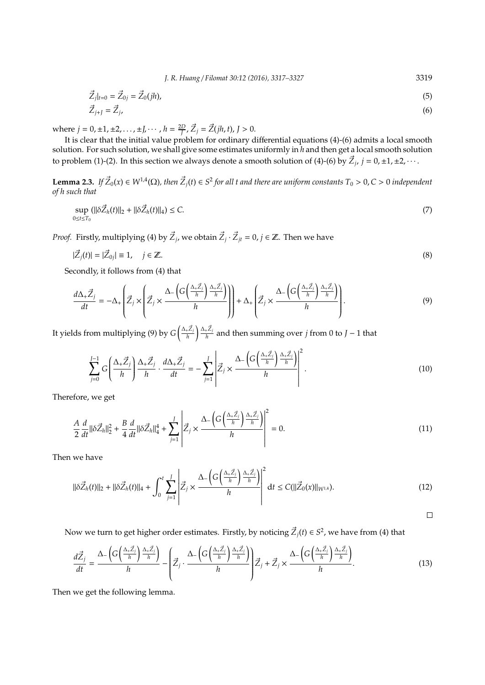*J. R. Huang* / *Filomat 30:12 (2016), 3317–3327* 3319

$$
\vec{Z}_j|_{t=0} = \vec{Z}_{0j} = \vec{Z}_0(jh),\tag{5}
$$

$$
\vec{Z}_{j+1} = \vec{Z}_j,\tag{6}
$$

where  $j = 0, \pm 1, \pm 2, \dots, \pm J, \dots, h = \frac{2D}{J}, \vec{Z}_j = \vec{Z}(jh, t), J > 0.$ 

It is clear that the initial value problem for ordinary differential equations (4)-(6) admits a local smooth solution. For such solution, we shall give some estimates uniformly in *h* and then get a local smooth solution to problem (1)-(2). In this section we always denote a smooth solution of (4)-(6) by  $\vec{Z}_j$ ,  $j = 0, \pm 1, \pm 2, \cdots$ .

**Lemma 2.3.** If  $\vec{Z}_0(x) \in W^{1,4}(\Omega)$ , then  $\vec{Z}_j(t) \in S^2$  for all t and there are uniform constants  $T_0 > 0$ ,  $C > 0$  independent *of h such that*

$$
\sup_{0 \le t \le T_0} (||\delta \vec{Z}_h(t)||_2 + ||\delta \vec{Z}_h(t)||_4) \le C. \tag{7}
$$

*Proof.* Firstly, multiplying (4) by  $\vec{Z}_j$ , we obtain  $\vec{Z}_j \cdot \vec{Z}_{jt} = 0$ ,  $j \in \mathbb{Z}$ . Then we have

$$
|\vec{Z}_j(t)| = |\vec{Z}_{0j}| \equiv 1, \quad j \in \mathbb{Z}.
$$
 (8)

Secondly, it follows from (4) that

$$
\frac{d\Delta_{+} \vec{Z}_{j}}{dt} = -\Delta_{+} \left( \vec{Z}_{j} \times \left( \vec{Z}_{j} \times \frac{\Delta_{-} \left( G \left( \frac{\Delta_{+} \vec{Z}_{j}}{h} \right) \frac{\Delta_{+} \vec{Z}_{j}}{h} \right)}{h} \right) \right) + \Delta_{+} \left( \vec{Z}_{j} \times \frac{\Delta_{-} \left( G \left( \frac{\Delta_{+} \vec{Z}_{j}}{h} \right) \frac{\Delta_{+} \vec{Z}_{j}}{h} \right)}{h} \right).
$$
\n(9)

It yields from multiplying (9) by  $G\left(\frac{\Delta + \vec{Z}_j}{h}\right)$  $\int_{0}^{\Delta_{+} \vec{Z}_{j}}$  and then summing over *j* from 0 to *J* − 1 that

$$
\sum_{j=0}^{J-1} G\left(\frac{\Delta_{+} \vec{Z}_{j}}{h}\right) \frac{\Delta_{+} \vec{Z}_{j}}{h} \cdot \frac{d\Delta_{+} \vec{Z}_{j}}{dt} = -\sum_{j=1}^{J} \left| \vec{Z}_{j} \times \frac{\Delta_{-} \left(G\left(\frac{\Delta_{+} \vec{Z}_{j}}{h}\right) \frac{\Delta_{+} \vec{Z}_{j}}{h}\right)}{h} \right|^{2}.
$$
\n(10)

Therefore, we get

$$
\frac{A}{2}\frac{d}{dt}\|\delta \vec{Z}_h\|_2^2 + \frac{B}{4}\frac{d}{dt}\|\delta \vec{Z}_h\|_4^4 + \sum_{j=1}^J \left|\vec{Z}_j \times \frac{\Delta_{-}\left(G\left(\frac{\Delta_{+} \vec{Z}_j}{h}\right) \frac{\Delta_{+} \vec{Z}_j}{h}\right)}{h}\right|^2 = 0.
$$
\n(11)

Then we have

$$
\|\delta \vec{Z}_h(t)\|_2 + \|\delta \vec{Z}_h(t)\|_4 + \int_0^t \sum_{j=1}^J \left| \vec{Z}_j \times \frac{\Delta \left( G \left( \frac{\Delta + \vec{Z}_j}{h} \right) \frac{\Delta + \vec{Z}_j}{h} \right)}{h} \right|^2 dt \le C (\|\vec{Z}_0(x)\|_{W^{1,4}}). \tag{12}
$$

 $\Box$ 

Now we turn to get higher order estimates. Firstly, by noticing  $\vec{Z}_j(t) \in S^2$ , we have from (4) that

$$
\frac{d\vec{Z}_j}{dt} = \frac{\Delta_{-}\left(G\left(\frac{\Delta_{+} \vec{Z}_j}{h}\right)\frac{\Delta_{+} \vec{Z}_j}{h}\right)}{h} - \left(\vec{Z}_j \cdot \frac{\Delta_{-}\left(G\left(\frac{\Delta_{+} \vec{Z}_j}{h}\right)\frac{\Delta_{+} \vec{Z}_j}{h}\right)}{h}\right)\vec{Z}_j + \vec{Z}_j \times \frac{\Delta_{-}\left(G\left(\frac{\Delta_{+} \vec{Z}_j}{h}\right)\frac{\Delta_{+} \vec{Z}_j}{h}\right)}{h}.\tag{13}
$$

Then we get the following lemma.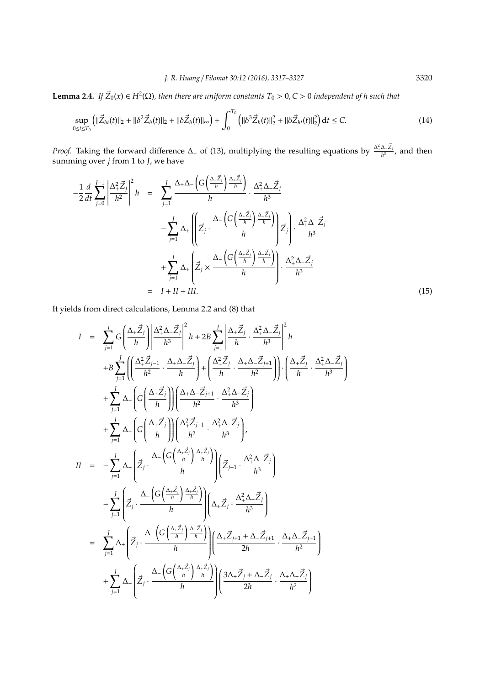**Lemma 2.4.** If  $\vec{Z}_0(x) \in H^2(\Omega)$ , then there are uniform constants  $T_0 > 0$ ,  $C > 0$  independent of h such that

$$
\sup_{0 \le t \le T_0} \left( \|\vec{Z}_{ht}(t)\|_2 + \|\delta^2 \vec{Z}_h(t)\|_2 + \|\delta \vec{Z}_h(t)\|_{\infty} \right) + \int_0^{T_0} \left( \|\delta^3 \vec{Z}_h(t)\|_2^2 + \|\delta \vec{Z}_{ht}(t)\|_2^2 \right) dt \le C. \tag{14}
$$

*Proof.* Taking the forward difference  $\Delta_+$  of (13), multiplying the resulting equations by  $\frac{\Delta_+^2 \Delta_- \vec{Z}_j}{h^3}$ , and then summing over *j* from 1 to *J*, we have

$$
-\frac{1}{2}\frac{d}{dt}\sum_{j=0}^{J-1}\left|\frac{\Delta_{+}^{2}\vec{Z}_{j}}{h^{2}}\right|^{2}h = \sum_{j=1}^{J}\frac{\Delta_{+}\Delta_{-}\left(G\left(\frac{\Delta_{+}\vec{Z}_{j}}{h}\right)\frac{\Delta_{+}\vec{Z}_{j}}{h}\right)}{h}\cdot\frac{\Delta_{+}^{2}\Delta_{-}\vec{Z}_{j}}{h^{3}} - \sum_{j=1}^{J}\Delta_{+}\left(\left|\vec{Z}_{j}\cdot\frac{\Delta_{-}\left(G\left(\frac{\Delta_{+}\vec{Z}_{j}}{h}\right)\frac{\Delta_{+}\vec{Z}_{j}}{h}\right)}{h}\right|\vec{Z}_{j}\right)\cdot\frac{\Delta_{+}^{2}\Delta_{-}\vec{Z}_{j}}{h^{3}} + \sum_{j=1}^{J}\Delta_{+}\left(\vec{Z}_{j}\times\frac{\Delta_{-}\left(G\left(\frac{\Delta_{+}\vec{Z}_{j}}{h}\right)\frac{\Delta_{+}\vec{Z}_{j}}{h}\right)}{h}\right)\cdot\frac{\Delta_{+}^{2}\Delta_{-}\vec{Z}_{j}}{h^{3}} - I + II + III.
$$
\n(15)

It yields from direct calculations, Lemma 2.2 and (8) that

$$
I = \sum_{j=1}^{J} G\left(\frac{\Delta_{+} \vec{Z}_{j}}{h}\right) \left|\frac{\Delta_{+}^{2} \Delta_{-} \vec{Z}_{j}}{h^{3}}\right|^{2} h + 2B \sum_{j=1}^{J} \left|\frac{\Delta_{+} \vec{Z}_{j}}{h} \cdot \frac{\Delta_{+}^{2} \Delta_{-} \vec{Z}_{j}}{h^{3}}\right|^{2} h
$$
  
+
$$
B \sum_{j=1}^{J} \left(\left(\frac{\Delta_{+}^{2} \vec{Z}_{j-1}}{h^{2}} \cdot \frac{\Delta_{+} \Delta_{-} \vec{Z}_{j}}{h}\right) + \left(\frac{\Delta_{+}^{2} \vec{Z}_{j}}{h} \cdot \frac{\Delta_{+} \Delta_{-} \vec{Z}_{j+1}}{h^{2}}\right)\right) \cdot \left(\frac{\Delta_{+} \vec{Z}_{j}}{h} \cdot \frac{\Delta_{+}^{2} \Delta_{-} \vec{Z}_{j}}{h^{3}}\right)
$$
  
+
$$
\sum_{j=1}^{J} \Delta_{+} \left(G\left(\frac{\Delta_{+} \vec{Z}_{j}}{h}\right) \right) \left(\frac{\Delta_{+} \Delta_{-} \vec{Z}_{j+1}}{h^{2}} \cdot \frac{\Delta_{+}^{2} \Delta_{-} \vec{Z}_{j}}{h^{3}}\right)
$$
  
+
$$
\sum_{j=1}^{J} \Delta_{-} \left(G\left(\frac{\Delta_{+} \vec{Z}_{j}}{h}\right) \right) \left(\frac{\Delta_{+}^{2} \vec{Z}_{j-1}}{h^{2}} \cdot \frac{\Delta_{+}^{2} \Delta_{-} \vec{Z}_{j}}{h^{3}}\right)
$$
  

$$
II = -\sum_{j=1}^{J} \Delta_{+} \left(\vec{Z}_{j} \cdot \frac{\Delta_{-} \left(G\left(\frac{\Delta_{+} \vec{Z}_{j}}{h}\right) \frac{\Delta_{+} \vec{Z}_{j}}{h}\right)}{h}\right) \left(\vec{Z}_{j+1} \cdot \frac{\Delta_{+}^{2} \Delta_{-} \vec{Z}_{j}}{h^{3}}\right)
$$
  
-
$$
\sum_{j=1}^{J} \Delta_{+} \left(\vec{Z}_{j} \cdot \frac{\Delta_{-} \left(G\left(\frac{\Delta_{+} \vec{Z}_{j}}{h}\right) \frac{\Delta_{+} \vec{Z}_{j
$$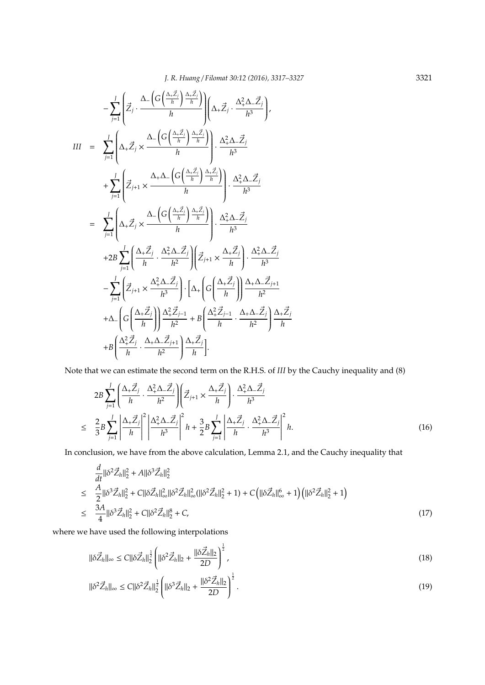$$
-\sum_{j=1}^{J} \left( \vec{Z}_{j} \cdot \frac{\Delta_{-}\left(G\left(\frac{\Delta_{+} \vec{Z}_{j}}{h}\right) \frac{\Delta_{+} \vec{Z}_{j}}{h}\right)}{h} \right) \left(\Delta_{+} \vec{Z}_{j} \cdot \frac{\Delta_{+}^{2} \Delta_{-} \vec{Z}_{j}}{h^{3}} \right),
$$
\n
$$
III = \sum_{j=1}^{J} \left( \Delta_{+} \vec{Z}_{j} \times \frac{\Delta_{-}\left(G\left(\frac{\Delta_{+} \vec{Z}_{j}}{h}\right) \frac{\Delta_{+} \vec{Z}_{j}}{h}\right)}{h} \right) \cdot \frac{\Delta_{+}^{2} \Delta_{-} \vec{Z}_{j}}{h^{3}}
$$
\n
$$
+\sum_{j=1}^{J} \left( \vec{Z}_{j+1} \times \frac{\Delta_{+} \Delta_{-}\left(G\left(\frac{\Delta_{+} \vec{Z}_{j}}{h}\right) \frac{\Delta_{+} \vec{Z}_{j}}{h}\right)}{h} \right) \cdot \frac{\Delta_{+}^{2} \Delta_{-} \vec{Z}_{j}}{h^{3}}
$$
\n
$$
= \sum_{j=1}^{J} \left( \Delta_{+} \vec{Z}_{j} \times \frac{\Delta_{-}\left(G\left(\frac{\Delta_{+} \vec{Z}_{j}}{h}\right) \frac{\Delta_{+} \vec{Z}_{j}}{h}\right)}{h} \right) \cdot \frac{\Delta_{+}^{2} \Delta_{-} \vec{Z}_{j}}{h^{3}}
$$
\n
$$
+2B \sum_{j=1}^{J} \left( \frac{\Delta_{+} \vec{Z}_{j}}{h} \cdot \frac{\Delta_{+}^{2} \Delta_{-} \vec{Z}_{j}}{h^{2}} \right) \left( \vec{Z}_{j+1} \times \frac{\Delta_{+} \vec{Z}_{j}}{h} \right) \cdot \frac{\Delta_{+}^{2} \Delta_{-} \vec{Z}_{j}}{h^{3}}
$$
\n
$$
-\sum_{j=1}^{J} \left( \vec{Z}_{j+1} \times \frac{\Delta_{+}^{2} \Delta_{-} \vec{Z}_{j}}{h^{3}} \right) \cdot \left[ \Delta_{+}\left( G\left(\frac{\Delta_{+} \vec{Z}_{j}}{h}\right) \right) \frac{\Delta_{+} \Delta_{-} \vec{Z}_{j+1}}{h^{2}} \right) \right. \
$$

Note that we can estimate the second term on the R.H.S. of *III* by the Cauchy inequality and (8)

$$
2B\sum_{j=1}^{J}\left(\frac{\Delta_{+}\vec{Z}_{j}}{h}\cdot\frac{\Delta_{+}^{2}\Delta_{-}\vec{Z}_{j}}{h^{2}}\right)\left(\vec{Z}_{j+1}\times\frac{\Delta_{+}\vec{Z}_{j}}{h}\right)\cdot\frac{\Delta_{+}^{2}\Delta_{-}\vec{Z}_{j}}{h^{3}}
$$
  

$$
\leq \frac{2}{3}B\sum_{j=1}^{J}\left|\frac{\Delta_{+}\vec{Z}_{j}}{h}\right|^{2}\left|\frac{\Delta_{+}^{2}\Delta_{-}\vec{Z}_{j}}{h^{3}}\right|^{2}h + \frac{3}{2}B\sum_{j=1}^{J}\left|\frac{\Delta_{+}\vec{Z}_{j}}{h}\cdot\frac{\Delta_{+}^{2}\Delta_{-}\vec{Z}_{j}}{h^{3}}\right|^{2}h.
$$
 (16)

In conclusion, we have from the above calculation, Lemma 2.1, and the Cauchy inequality that

$$
\frac{d}{dt}||\delta^2 \vec{Z}_h||_2^2 + A||\delta^3 \vec{Z}_h||_2^2
$$
\n
$$
\leq \frac{A}{2}||\delta^3 \vec{Z}_h||_2^2 + C||\delta \vec{Z}_h||_{\infty}^2||\delta^2 \vec{Z}_h||_{\infty}^2(||\delta^2 \vec{Z}_h||_2^2 + 1) + C(|\delta \vec{Z}_h||_{\infty}^6 + 1)(||\delta^2 \vec{Z}_h||_2^2 + 1)
$$
\n
$$
\leq \frac{3A}{4}||\delta^3 \vec{Z}_h||_2^2 + C||\delta^2 \vec{Z}_h||_2^8 + C,\n\tag{17}
$$

where we have used the following interpolations

$$
\|\delta \vec{Z}_h\|_{\infty} \le C \|\delta \vec{Z}_h\|_2^{\frac{1}{2}} \left( \|\delta^2 \vec{Z}_h\|_2 + \frac{\|\delta \vec{Z}_h\|_2}{2D} \right)^{\frac{1}{2}},\tag{18}
$$

$$
\|\delta^2 \vec{Z}_h\|_{\infty} \le C \|\delta^2 \vec{Z}_h\|_2^{\frac{1}{2}} \left( \|\delta^3 \vec{Z}_h\|_2 + \frac{\|\delta^2 \vec{Z}_h\|_2}{2D} \right)^{\frac{1}{2}}.
$$
\n(19)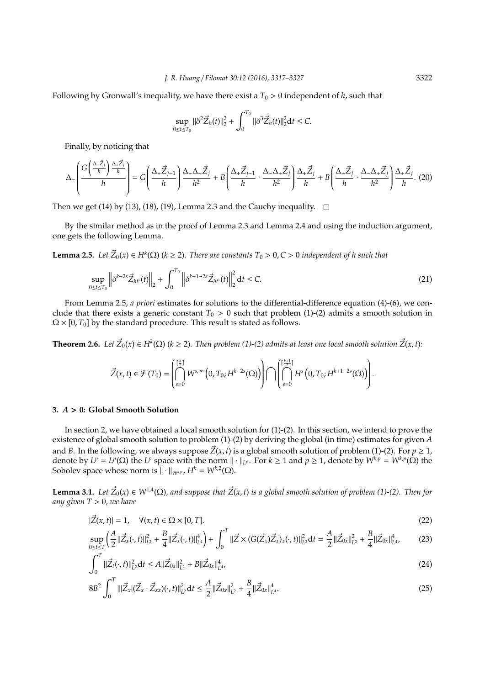Following by Gronwall's inequality, we have there exist a  $T_0 > 0$  independent of h, such that

$$
\sup_{0\leq t\leq T_0} \|\delta^2 \vec{Z}_h(t)\|_2^2 + \int_0^{T_0} \|\delta^3 \vec{Z}_h(t)\|_2^2 \mathrm{d}t \leq C.
$$

Finally, by noticing that

$$
\Delta_{-}\left(\frac{G\left(\frac{\Delta_{+} \vec{Z}_{j}}{h}\right)\frac{\Delta_{+} \vec{Z}_{j}}{h}}{h}\right) = G\left(\frac{\Delta_{+} \vec{Z}_{j-1}}{h}\right)\frac{\Delta_{-}\Delta_{+} \vec{Z}_{j}}{h^{2}} + B\left(\frac{\Delta_{+} \vec{Z}_{j-1}}{h}\cdot\frac{\Delta_{-}\Delta_{+} \vec{Z}_{j}}{h^{2}}\right)\frac{\Delta_{+} \vec{Z}_{j}}{h} + B\left(\frac{\Delta_{+} \vec{Z}_{j}}{h}\cdot\frac{\Delta_{-}\Delta_{+} \vec{Z}_{j}}{h^{2}}\right)\frac{\Delta_{+} \vec{Z}_{j}}{h}.\tag{20}
$$

Then we get (14) by (13), (18), (19), Lemma 2.3 and the Cauchy inequality.  $\square$ 

By the similar method as in the proof of Lemma 2.3 and Lemma 2.4 and using the induction argument, one gets the following Lemma.

**Lemma 2.5.** *Let*  $\vec{Z}_0(x) \in H^k(\Omega)$  ( $k \ge 2$ ). There are constants  $T_0 > 0$ ,  $C > 0$  independent of h such that

$$
\sup_{0 \le t \le T_0} \left\| \delta^{k-2s} \vec{Z}_{ht^s}(t) \right\|_2 + \int_0^{T_0} \left\| \delta^{k+1-2s} \vec{Z}_{ht^s}(t) \right\|_2^2 \, \mathrm{d}t \le C. \tag{21}
$$

From Lemma 2.5, *a priori* estimates for solutions to the differential-difference equation (4)-(6), we conclude that there exists a generic constant  $T_0 > 0$  such that problem (1)-(2) admits a smooth solution in  $\Omega \times [0, T_0]$  by the standard procedure. This result is stated as follows.

**Theorem 2.6.** Let  $\vec{Z}_0(x) \in H^k(\Omega)$  ( $k \geq 2$ ). Then problem (1)-(2) admits at least one local smooth solution  $\vec{Z}(x, t)$ :

$$
\vec{Z}(x,t)\in\mathcal{F}(T_0)=\left(\bigcap_{s=0}^{\left[\frac{k}{2}\right]}W^{s,\infty}\left(0,T_0;H^{k-2s}(\Omega)\right)\right)\bigcap\left(\bigcap_{s=0}^{\left[\frac{k+1}{2}\right]}H^s\left(0,T_0;H^{k+1-2s}(\Omega)\right)\right).
$$

#### **3.** *A* > **0: Global Smooth Solution**

In section 2, we have obtained a local smooth solution for  $(1)-(2)$ . In this section, we intend to prove the existence of global smooth solution to problem (1)-(2) by deriving the global (in time) estimates for given *A* and *B*. In the following, we always suppose  $\vec{Z}(x, t)$  is a global smooth solution of problem (1)-(2). For  $p \ge 1$ , denote by  $L^p = L^p(\Omega)$  the  $L^p$  space with the norm  $\|\cdot\|_{L^p}$ . For  $k \ge 1$  and  $p \ge 1$ , denote by  $W^{k,p} = W^{k,p}(\Omega)$  the Sobolev space whose norm is  $\|\cdot\|_{W^{k,p}}$ ,  $H^k = W^{k,2}(\Omega)$ .

**Lemma 3.1.** Let  $\vec{Z}_0(x) \in W^{1,4}(\Omega)$ , and suppose that  $\vec{Z}(x,t)$  is a global smooth solution of problem (1)-(2). Then for *any given T* > 0*, we have*

$$
|\vec{Z}(x,t)| = 1, \quad \forall (x,t) \in \Omega \times [0,T]. \tag{22}
$$

$$
\sup_{0\leq t\leq T}\left(\frac{A}{2}\|\vec{Z}_x(\cdot,t)\|_{L^2}^2 + \frac{B}{4}\|\vec{Z}_x(\cdot,t)\|_{L^4}^4\right) + \int_0^T \|\vec{Z}\times (G(\vec{Z}_x)\vec{Z}_x)_x(\cdot,t)\|_{L^2}^2 dt = \frac{A}{2}\|\vec{Z}_{0x}\|_{L^2}^2 + \frac{B}{4}\|\vec{Z}_{0x}\|_{L^4}^4,\tag{23}
$$

$$
\int_0^T \|\vec{Z}_t(\cdot,t)\|_{L^2}^2 dt \le A \|\vec{Z}_{0x}\|_{L^2}^2 + B \|\vec{Z}_{0x}\|_{L^4}^4,
$$
\n(24)

$$
8B^2 \int_0^T |||\vec{Z}_x| (\vec{Z}_x \cdot \vec{Z}_{xx})(\cdot, t)||^2_{L^2} dt \leq \frac{A}{2} ||\vec{Z}_{0x}||^2_{L^2} + \frac{B}{4} ||\vec{Z}_{0x}||^4_{L^4}.
$$
 (25)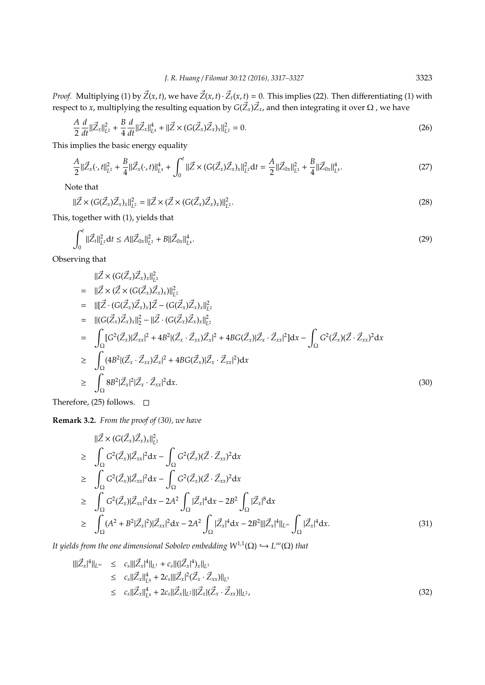*Proof.* Multiplying (1) by  $\vec{Z}(x, t)$ , we have  $\vec{Z}(x, t) \cdot \vec{Z}_t(x, t) = 0$ . This implies (22). Then differentiating (1) with respect to *x,* multiplying the resulting equation by  $G(\vec{Z}_x)\vec{Z}_x$ , and then integrating it over Ω , we have

$$
\frac{A}{2}\frac{d}{dt}\|\vec{Z}_{x}\|_{L^{2}}^{2} + \frac{B}{4}\frac{d}{dt}\|\vec{Z}_{x}\|_{L^{4}}^{4} + \|\vec{Z} \times (G(\vec{Z}_{x})\vec{Z}_{x})_{x}\|_{L^{2}}^{2} = 0.
$$
\n(26)

This implies the basic energy equality

$$
\frac{A}{2}||\vec{Z}_x(\cdot,t)||_{L^2}^2 + \frac{B}{4}||\vec{Z}_x(\cdot,t)||_{L^4}^4 + \int_0^t ||\vec{Z} \times (G(\vec{Z}_x)\vec{Z}_x)_x||_{L^2}^2 dt = \frac{A}{2}||\vec{Z}_{0x}||_{L^2}^2 + \frac{B}{4}||\vec{Z}_{0x}||_{L^4}^4.
$$
\n(27)

Note that

$$
\|\vec{Z} \times (G(\vec{Z}_x)\vec{Z}_x)_x\|_{L^2}^2 = \|\vec{Z} \times (\vec{Z} \times (G(\vec{Z}_x)\vec{Z}_x)_x)\|_{L^2}^2.
$$
\n(28)

This, together with (1), yields that

$$
\int_0^t \|\vec{Z}_t\|_{L^2}^2 dt \le A \|\vec{Z}_{0x}\|_{L^2}^2 + B \|\vec{Z}_{0x}\|_{L^4}^4.
$$
\n(29)

Observing that

$$
\|\vec{Z} \times (G(\vec{Z}_{x})\vec{Z}_{x})_{x}\|_{L^{2}}^{2}
$$
\n
$$
= \|\vec{Z} \times (\vec{Z} \times (G(\vec{Z}_{x})\vec{Z}_{x})_{x})\|_{L^{2}}^{2}
$$
\n
$$
= \|\vec{Z} \cdot (G(\vec{Z}_{x})\vec{Z}_{x})_{x}\|_{L^{2}}^{2} - (G(\vec{Z}_{x})\vec{Z}_{x})_{x}\|_{L^{2}}^{2}
$$
\n
$$
= \|\left(G(\vec{Z}_{x})\vec{Z}_{x})_{x}\|_{2}^{2} - \|\vec{Z} \cdot (G(\vec{Z}_{x})\vec{Z}_{x})_{x}\|_{L^{2}}^{2}
$$
\n
$$
= \int_{\Omega} [G^{2}(\vec{Z}_{x})|\vec{Z}_{xx}|^{2} + 4B^{2} |(\vec{Z}_{x} \cdot \vec{Z}_{xx})\vec{Z}_{x}|^{2} + 4BG(\vec{Z}_{x})|\vec{Z}_{x} \cdot \vec{Z}_{xx}|^{2} ]dx - \int_{\Omega} G^{2}(\vec{Z}_{x}) (\vec{Z} \cdot \vec{Z}_{xx})^{2} dx
$$
\n
$$
\geq \int_{\Omega} (4B^{2} |(\vec{Z}_{x} \cdot \vec{Z}_{xx})\vec{Z}_{x}|^{2} + 4BG(\vec{Z}_{x})|\vec{Z}_{x} \cdot \vec{Z}_{xx}|^{2}) dx
$$
\n
$$
\geq \int_{\Omega} 8B^{2} |\vec{Z}_{x}|^{2} |\vec{Z}_{x} \cdot \vec{Z}_{xx}|^{2} dx.
$$
\n(30)

Therefore, (25) follows.  $\square$ 

**Remark 3.2.** *From the proof of (30), we have*

$$
\|\vec{Z} \times (G(\vec{Z}_{x})\vec{Z}_{x})_{x}\|_{L^{2}}^{2}
$$
\n
$$
\geq \int_{\Omega} G^{2}(\vec{Z}_{x}) |\vec{Z}_{xx}|^{2} dx - \int_{\Omega} G^{2}(\vec{Z}_{x}) (\vec{Z} \cdot \vec{Z}_{xx})^{2} dx
$$
\n
$$
\geq \int_{\Omega} G^{2}(\vec{Z}_{x}) |\vec{Z}_{xx}|^{2} dx - \int_{\Omega} G^{2}(\vec{Z}_{x}) (\vec{Z} \cdot \vec{Z}_{xx})^{2} dx
$$
\n
$$
\geq \int_{\Omega} G^{2}(\vec{Z}_{x}) |\vec{Z}_{xx}|^{2} dx - 2A^{2} \int_{\Omega} |\vec{Z}_{x}|^{4} dx - 2B^{2} \int_{\Omega} |\vec{Z}_{x}|^{8} dx
$$
\n
$$
\geq \int_{\Omega} (A^{2} + B^{2}|\vec{Z}_{x}|^{2}) |\vec{Z}_{xx}|^{2} dx - 2A^{2} \int_{\Omega} |\vec{Z}_{x}|^{4} dx - 2B^{2} |||\vec{Z}_{x}|^{4} ||_{L^{\infty}} \int_{\Omega} |\vec{Z}_{x}|^{4} dx.
$$
\n(31)

*It yields from the one dimensional Sobolev embedding*  $W^{1,1}(\Omega) \hookrightarrow L^{\infty}(\Omega)$  *that* 

$$
\begin{split} \|\vec{Z}_{x}|^{4}\|_{L^{\infty}} &\leq c_{s}\|\|\vec{Z}_{x}|^{4}\|_{L^{1}} + c_{s}\|(\|\vec{Z}_{x}|^{4})_{x}\|_{L^{1}} \\ &\leq c_{s}\|\vec{Z}_{x}\|_{L^{4}}^{4} + 2c_{s}\|\|\vec{Z}_{x}|^{2}(\vec{Z}_{x} \cdot \vec{Z}_{xx})\|_{L^{1}} \\ &\leq c_{s}\|\vec{Z}_{x}\|_{L^{4}}^{4} + 2c_{s}\|\vec{Z}_{x}\|_{L^{2}}\|\|\vec{Z}_{x}|(\vec{Z}_{x} \cdot \vec{Z}_{xx})\|_{L^{2}}, \end{split} \tag{32}
$$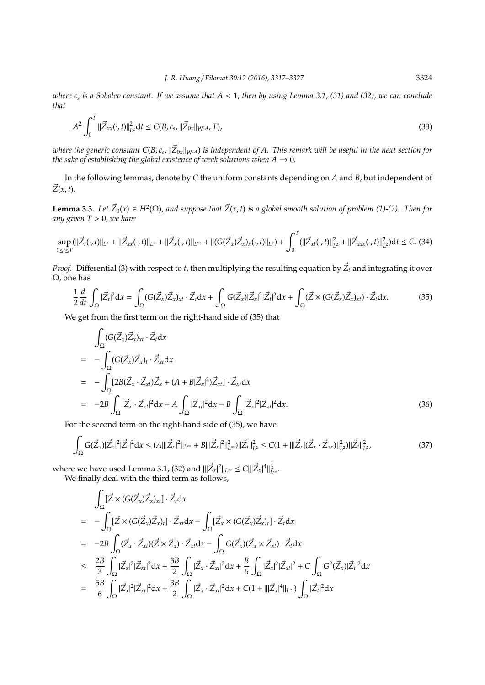*where c<sup>s</sup> is a Sobolev constant. If we assume that A* < 1*, then by using Lemma 3.1, (31) and (32), we can conclude that*

$$
A^{2} \int_{0}^{T} \|\vec{Z}_{xx}(\cdot,t)\|_{L^{2}}^{2} \mathrm{d}t \leq C(B,c_{s},\|\vec{Z}_{0x}\|_{W^{1,4}},T), \tag{33}
$$

where the generic constant C(B,  $c_s$ ,  $\|\vec Z_{0x}\|_{W^{1,A}}$ ) is independent of A. This remark will be useful in the next section for *the sake of establishing the global existence of weak solutions when*  $A \rightarrow 0$ *.* 

In the following lemmas, denote by *C* the uniform constants depending on *A* and *B*, but independent of  $\vec{Z}(x, t)$ .

**Lemma 3.3.** Let  $\vec{Z}_0(x) \in H^2(\Omega)$ , and suppose that  $\vec{Z}(x,t)$  is a global smooth solution of problem (1)-(2). Then for *any given T* > 0*, we have*

$$
\sup_{0 \le t \le T} (\|\vec{Z}_t(\cdot,t)\|_{L^2} + \|\vec{Z}_{xx}(\cdot,t)\|_{L^2} + \|\vec{Z}_x(\cdot,t)\|_{L^\infty} + \|(G(\vec{Z}_x)\vec{Z}_x)_x(\cdot,t)\|_{L^2}) + \int_0^T (\|\vec{Z}_{xt}(\cdot,t)\|_{L^2}^2 + \|\vec{Z}_{xxx}(\cdot,t)\|_{L^2}^2)dt \le C. (34)
$$

*Proof.* Differential (3) with respect to *t*, then multiplying the resulting equation by  $\vec{Z}_t$  and integrating it over Ω, one has

$$
\frac{1}{2}\frac{d}{dt}\int_{\Omega}|\vec{Z}_t|^2dx = \int_{\Omega} (G(\vec{Z}_x)\vec{Z}_x)_{xt} \cdot \vec{Z}_t dx + \int_{\Omega} G(\vec{Z}_x)|\vec{Z}_x|^2|\vec{Z}_t|^2 dx + \int_{\Omega} (\vec{Z} \times (G(\vec{Z}_x)\vec{Z}_x)_{xt}) \cdot \vec{Z}_t dx.
$$
(35)

We get from the first term on the right-hand side of (35) that

$$
\int_{\Omega} (G(\vec{Z}_x)\vec{Z}_x)_{xt} \cdot \vec{Z}_t dx
$$
\n
$$
= -\int_{\Omega} (G(\vec{Z}_x)\vec{Z}_x)_t \cdot \vec{Z}_{xt} dx
$$
\n
$$
= -\int_{\Omega} [2B(\vec{Z}_x \cdot \vec{Z}_{xt})\vec{Z}_x + (A + B|\vec{Z}_x|^2)\vec{Z}_{xt}] \cdot \vec{Z}_{xt} dx
$$
\n
$$
= -2B \int_{\Omega} |\vec{Z}_x \cdot \vec{Z}_{xt}|^2 dx - A \int_{\Omega} |\vec{Z}_{xt}|^2 dx - B \int_{\Omega} |\vec{Z}_x|^2 |\vec{Z}_{xt}|^2 dx.
$$
\n(36)

For the second term on the right-hand side of (35), we have

$$
\int_{\Omega} G(\vec{Z}_x) |\vec{Z}_x|^2 |\vec{Z}_t|^2 dx \le (A \|\|\vec{Z}_x\|^2\|_{L^\infty} + B \|\|\vec{Z}_x\|^2\|_{L^\infty}^2) \|\vec{Z}_t\|_{L^2}^2 \le C(1 + \|\|\vec{Z}_x|(\vec{Z}_x \cdot \vec{Z}_{xx})\|_{L^2}^2) \|\vec{Z}_t\|_{L^2}^2,\tag{37}
$$

where we have used Lemma 3.1, (32) and  $\|\vec{Z}_x|^2\|_{L^\infty} \le C \|\vec{Z}_x\|^4\|_{L^\infty}^{\frac{1}{2}}$ . We finally deal with the third term as follows,

$$
\int_{\Omega} [\vec{Z} \times (G(\vec{Z}_{x}) \vec{Z}_{x})_{xt}] \cdot \vec{Z}_{t} dx
$$
\n=
$$
- \int_{\Omega} [\vec{Z} \times (G(\vec{Z}_{x}) \vec{Z}_{x})_{t}] \cdot \vec{Z}_{xt} dx - \int_{\Omega} [\vec{Z}_{x} \times (G(\vec{Z}_{x}) \vec{Z}_{x})_{t}] \cdot \vec{Z}_{t} dx
$$
\n=
$$
- 2B \int_{\Omega} (\vec{Z}_{x} \cdot \vec{Z}_{xt}) (\vec{Z} \times \vec{Z}_{x}) \cdot \vec{Z}_{xt} dx - \int_{\Omega} G(\vec{Z}_{x}) (\vec{Z}_{x} \times \vec{Z}_{xt}) \cdot \vec{Z}_{t} dx
$$
\n
$$
\leq \frac{2B}{3} \int_{\Omega} |\vec{Z}_{x}|^{2} |\vec{Z}_{xt}|^{2} dx + \frac{3B}{2} \int_{\Omega} |\vec{Z}_{x} \cdot \vec{Z}_{xt}|^{2} dx + \frac{B}{6} \int_{\Omega} |\vec{Z}_{x}|^{2} |\vec{Z}_{xt}|^{2} + C \int_{\Omega} G^{2}(\vec{Z}_{x}) |\vec{Z}_{t}|^{2} dx
$$
\n=
$$
\frac{5B}{6} \int_{\Omega} |\vec{Z}_{x}|^{2} |\vec{Z}_{xt}|^{2} dx + \frac{3B}{2} \int_{\Omega} |\vec{Z}_{x} \cdot \vec{Z}_{xt}|^{2} dx + C(1 + |||\vec{Z}_{x}|^{4}||_{L^{\infty}}) \int_{\Omega} |\vec{Z}_{t}|^{2} dx
$$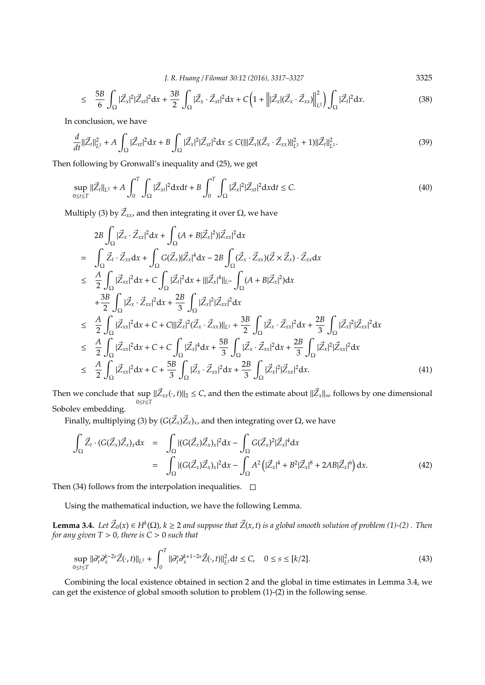*J. R. Huang* / *Filomat 30:12 (2016), 3317–3327* 3325

$$
\leq \frac{5B}{6} \int_{\Omega} |\vec{Z}_x|^2 |\vec{Z}_{xt}|^2 dx + \frac{3B}{2} \int_{\Omega} |\vec{Z}_x \cdot \vec{Z}_{xt}|^2 dx + C \left( 1 + \left\| |\vec{Z}_x| (\vec{Z}_x \cdot \vec{Z}_{xx})| \right\|_{L^2}^2 \right) \int_{\Omega} |\vec{Z}_t|^2 dx. \tag{38}
$$

In conclusion, we have

$$
\frac{d}{dt}||\vec{Z}_{t}||_{L^{2}}^{2} + A \int_{\Omega} |\vec{Z}_{xt}|^{2} dx + B \int_{\Omega} |\vec{Z}_{x}|^{2} |\vec{Z}_{xt}|^{2} dx \leq C(|||\vec{Z}_{x}|(\vec{Z}_{x} \cdot \vec{Z}_{xx})||_{L^{2}}^{2} + 1)||\vec{Z}_{t}||_{L^{2}}^{2}.
$$
\n(39)

Then following by Gronwall's inequality and (25), we get

$$
\sup_{0 \le t \le T} \|\vec{Z}_t\|_{L^2} + A \int_0^T \int_{\Omega} |\vec{Z}_{xt}|^2 \mathrm{d}x \mathrm{d}t + B \int_0^T \int_{\Omega} |\vec{Z}_x|^2 |\vec{Z}_{xt}|^2 \mathrm{d}x \mathrm{d}t \le C. \tag{40}
$$

Multiply (3) by  $\vec{Z}_{xx}$ , and then integrating it over Ω, we have

$$
2B \int_{\Omega} |\vec{Z}_{x} \cdot \vec{Z}_{xx}|^{2} dx + \int_{\Omega} (A + B|\vec{Z}_{x}|^{2}) |\vec{Z}_{xx}|^{2} dx
$$
\n
$$
= \int_{\Omega} \vec{Z}_{t} \cdot \vec{Z}_{xx} dx + \int_{\Omega} G(\vec{Z}_{x}) |\vec{Z}_{x}|^{4} dx - 2B \int_{\Omega} (\vec{Z}_{x} \cdot \vec{Z}_{xx})(\vec{Z} \times \vec{Z}_{x}) \cdot \vec{Z}_{xx} dx
$$
\n
$$
\leq \frac{A}{2} \int_{\Omega} |\vec{Z}_{xx}|^{2} dx + C \int_{\Omega} |\vec{Z}_{t}|^{2} dx + |||\vec{Z}_{x}|^{4}||_{L^{\infty}} \int_{\Omega} (A + B|\vec{Z}_{x}|^{2}) dx
$$
\n
$$
+ \frac{3B}{2} \int_{\Omega} |\vec{Z}_{x} \cdot \vec{Z}_{xx}|^{2} dx + \frac{2B}{3} \int_{\Omega} |\vec{Z}_{x}|^{2} |\vec{Z}_{xx}|^{2} dx
$$
\n
$$
\leq \frac{A}{2} \int_{\Omega} |\vec{Z}_{xx}|^{2} dx + C + C |||\vec{Z}_{x}|^{2} (\vec{Z}_{x} \cdot \vec{Z}_{xx})||_{L^{1}} + \frac{3B}{2} \int_{\Omega} |\vec{Z}_{x} \cdot \vec{Z}_{xx}|^{2} dx + \frac{2B}{3} \int_{\Omega} |\vec{Z}_{x}|^{2} |\vec{Z}_{xx}|^{2} dx
$$
\n
$$
\leq \frac{A}{2} \int_{\Omega} |\vec{Z}_{xx}|^{2} dx + C + C \int_{\Omega} |\vec{Z}_{x}|^{4} dx + \frac{5B}{3} \int_{\Omega} |\vec{Z}_{x} \cdot \vec{Z}_{xx}|^{2} dx + \frac{2B}{3} \int_{\Omega} |\vec{Z}_{x}|^{2} |\vec{Z}_{xx}|^{2} dx
$$
\n
$$
\leq \frac{A}{2} \int_{\Omega} |\vec{Z}_{xx}|^{2} dx + C + \frac{5B}{3} \int_{\Omega} |\vec{Z}_{x} \cdot \vec{Z}_{xx}|^{2} dx + \frac{2B}{3} \int_{\Omega} |\vec{Z}_{x}|^{2} |\vec{Z}_{xx}|^{2} dx. \tag{41}
$$

Then we conclude that sup  $\|\vec{Z}_{xx}(\cdot,t)\|_2 \le C$ , and then the estimate about  $\|\vec{Z}_x\|_\infty$  follows by one dimensional  $0 \le t \le T$ Sobolev embedding.

Finally, multiplying (3) by ( $G( Z_x ) Z_x )_x$ , and then integrating over Ω, we have

$$
\int_{\Omega} \vec{Z}_t \cdot (G(\vec{Z}_x) \vec{Z}_x)_x dx = \int_{\Omega} |(G(\vec{Z}_x) \vec{Z}_x)_x|^2 dx - \int_{\Omega} G(\vec{Z}_x)^2 |\vec{Z}_x|^4 dx
$$
\n
$$
= \int_{\Omega} |(G(\vec{Z}_x) \vec{Z}_x)_x|^2 dx - \int_{\Omega} A^2 (|\vec{Z}_x|^4 + B^2 |\vec{Z}_x|^8 + 2AB |\vec{Z}_x|^6) dx. \tag{42}
$$

Then (34) follows from the interpolation inequalities.  $\Box$ 

Using the mathematical induction, we have the following Lemma.

**Lemma 3.4.** Let  $\vec{Z}_0(x) \in H^k(\Omega)$ ,  $k \geq 2$  and suppose that  $\vec{Z}(x,t)$  is a global smooth solution of problem (1)-(2). Then *for any given*  $T > 0$ *, there is*  $C > 0$  *such that* 

$$
\sup_{0 \le t \le T} ||\partial_t^s \partial_x^{k-2s} \vec{Z}(\cdot, t)||_{L^2} + \int_0^T ||\partial_t^s \partial_x^{k+1-2s} \vec{Z}(\cdot, t)||_{L^2}^2 \, dt \le C, \quad 0 \le s \le [k/2]. \tag{43}
$$

Combining the local existence obtained in section 2 and the global in time estimates in Lemma 3.4, we can get the existence of global smooth solution to problem (1)-(2) in the following sense.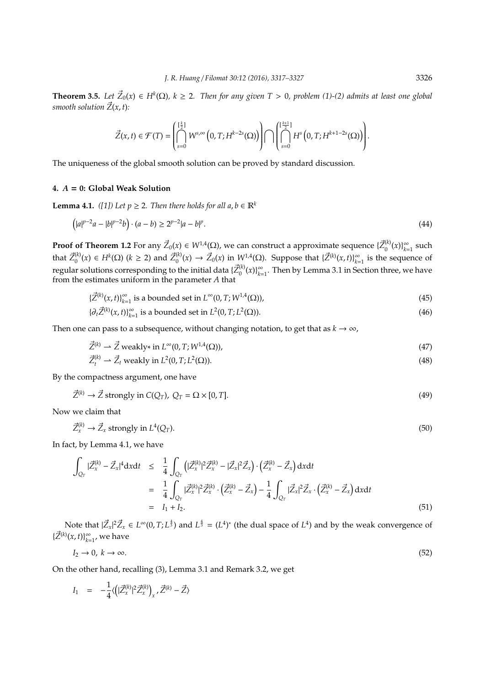**Theorem 3.5.** Let  $\vec{Z}_0(x) \in H^k(\Omega)$ ,  $k \geq 2$ . Then for any given  $T > 0$ , problem (1)-(2) admits at least one global *smooth solution*  $\vec{Z}(x, t)$ *:* 

$$
\vec{Z}(x,t)\in\mathcal{F}(T)=\left(\bigcap_{s=0}^{\left[\frac{k}{2}\right]}W^{s,\infty}\left(0,T;H^{k-2s}(\Omega)\right)\right)\bigcap\left(\bigcap_{s=0}^{\left[\frac{k+1}{2}\right]}H^{s}\left(0,T;H^{k+1-2s}(\Omega)\right)\right).
$$

The uniqueness of the global smooth solution can be proved by standard discussion.

## **4.** *A* = **0: Global Weak Solution**

**Lemma 4.1.** *([1])* Let  $p \ge 2$ . Then there holds for all  $a, b \in \mathbb{R}^k$ 

$$
(|a|^{p-2}a - |b|^{p-2}b) \cdot (a - b) \ge 2^{p-2}|a - b|^p. \tag{44}
$$

**Proof of Theorem 1.2** For any  $\vec{Z}_0(x) \in W^{1,4}(\Omega)$ , we can construct a approximate sequence  $\{Z_0^{(k)}\}$  $\binom{k}{0}(x)\}_{k=0}^{\infty}$  $\sum_{k=1}^{\infty}$  such that  $\vec{Z}_0^{(k)}$  $_{0}^{(k)}(x)$  ∈  $H^{k}(\Omega)$  ( $k ≥ 2$ ) and  $\vec{Z}_{0}^{(k)}$  $\mathcal{Z}_0(x)$  →  $\mathcal{Z}_0(x)$  in  $W^{1,4}(\Omega)$ . Suppose that  $\{\mathcal{Z}^{(k)}(x,t)\}_{k=0}^\infty$  $\sum_{k=1}^{\infty}$  is the sequence of regular solutions corresponding to the initial data  $\{Z_0^{(k)}\}$  $\binom{k}{0}(x)\}_{k=0}^{\infty}$ *k*=1 . Then by Lemma 3.1 in Section three, we have from the estimates uniform in the parameter *A* that

$$
\{\vec{Z}^{(k)}(x,t)\}_{k=1}^{\infty} \text{ is a bounded set in } L^{\infty}(0,T;W^{1,4}(\Omega)),\tag{45}
$$

$$
\{\partial_t \vec{Z}^{(k)}(x,t)\}_{k=1}^{\infty} \text{ is a bounded set in } L^2(0,T;L^2(\Omega)).\tag{46}
$$

Then one can pass to a subsequence, without changing notation, to get that as  $k \to \infty$ ,

$$
\vec{Z}^{(k)} \rightharpoonup \vec{Z} \text{ weakly* in } L^{\infty}(0, T; W^{1,4}(\Omega)), \tag{47}
$$

$$
\vec{Z}_{t}^{(k)} \rightarrow \vec{Z}_{t} \text{ weakly in } L^{2}(0, T; L^{2}(\Omega)). \tag{48}
$$

By the compactness argument, one have

$$
\vec{Z}^{(k)} \to \vec{Z} \text{ strongly in } C(Q_T), \ Q_T = \Omega \times [0, T]. \tag{49}
$$

Now we claim that

$$
\vec{Z}_x^{(k)} \to \vec{Z}_x \text{ strongly in } L^4(Q_T). \tag{50}
$$

In fact, by Lemma 4.1, we have

$$
\int_{Q_T} |\vec{Z}_x^{(k)} - \vec{Z}_x|^4 dxdt \leq \frac{1}{4} \int_{Q_T} (|\vec{Z}_x^{(k)}|^2 \vec{Z}_x^{(k)} - |\vec{Z}_x|^2 \vec{Z}_x) \cdot (\vec{Z}_x^{(k)} - \vec{Z}_x) dxdt \n= \frac{1}{4} \int_{Q_T} |\vec{Z}_x^{(k)}|^2 \vec{Z}_x^{(k)} \cdot (\vec{Z}_x^{(k)} - \vec{Z}_x) - \frac{1}{4} \int_{Q_T} |\vec{Z}_x|^2 \vec{Z}_x \cdot (\vec{Z}_x^{(k)} - \vec{Z}_x) dxdt \n= I_1 + I_2.
$$
\n(51)

Note that  $|\vec{Z}_x|^2 \vec{Z}_x \in L^\infty(0,T;L^{\frac{4}{3}})$  and  $L^{\frac{4}{3}} = (L^4)^*$  (the dual space of  $L^4$ ) and by the weak convergence of { $\vec{Z}^{(k)}(x,t)$ }<sup>∞</sup>  $_{k=1}^{\infty}$ , we have

$$
I_2 \to 0, k \to \infty. \tag{52}
$$

On the other hand, recalling (3), Lemma 3.1 and Remark 3.2, we get

$$
I_1 = -\frac{1}{4} \langle \left( |\vec{Z}_x^{(k)}|^2 \vec{Z}_x^{(k)} \right)_x, \vec{Z}^{(k)} - \vec{Z} \rangle
$$